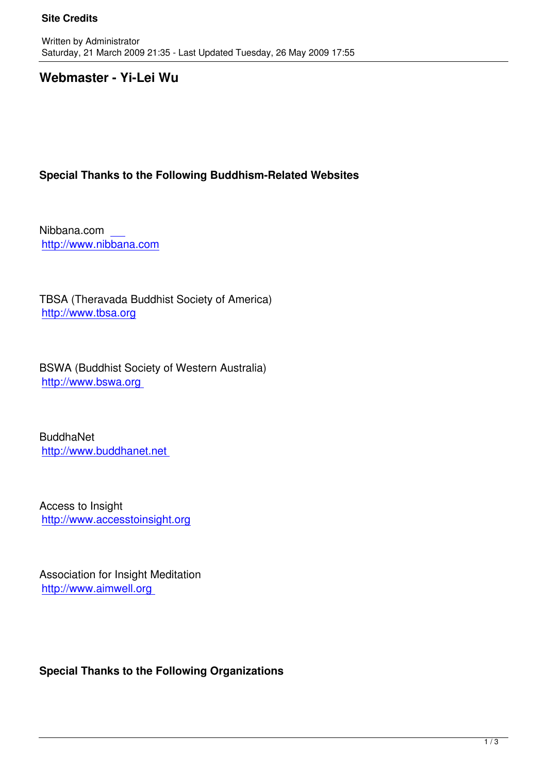# **Webmaster - Yi-Lei Wu**

## **Special Thanks to the Following Buddhism-Related Websites**

Nibbana.com http://www.nibbana.com

[TBSA \(Theravada Buddh](http://www.nibbana.com/)ist Society of America) http://www.tbsa.org

[BSWA \(Buddhist So](http://www.tbsa.org/)ciety of Western Australia) http://www.bswa.org

[BuddhaNet](http://www.bswa.org%20/)  http://www.buddhanet.net

[Access to Insight](http://www.buddhanet.net/)  http://www.accesstoinsight.org

[Association for Insight Meditatio](http://www.accesstoinsight.org/)n http://www.aimwell.org

**Special Thanks to the Following Organizations**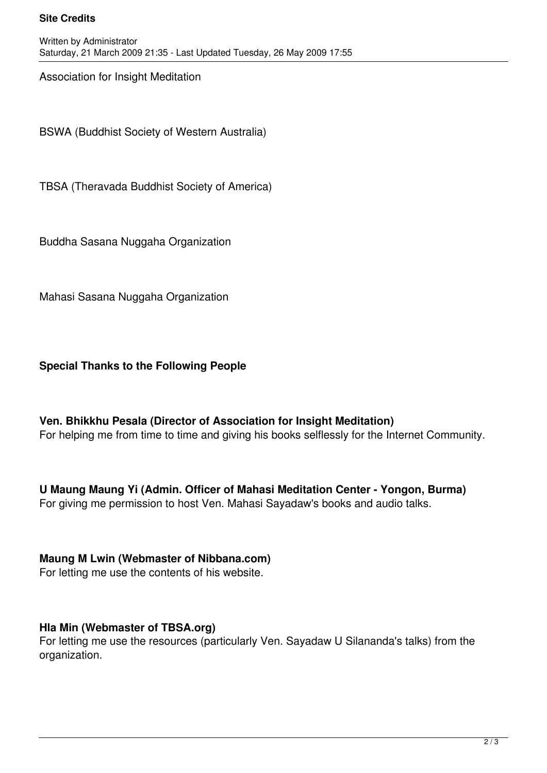#### **Site Credits**

Association for Insight Meditation

BSWA (Buddhist Society of Western Australia)

TBSA (Theravada Buddhist Society of America)

Buddha Sasana Nuggaha Organization

Mahasi Sasana Nuggaha Organization

**Special Thanks to the Following People**

**Ven. Bhikkhu Pesala (Director of Association for Insight Meditation)**  For helping me from time to time and giving his books selflessly for the Internet Community.

**U Maung Maung Yi (Admin. Officer of Mahasi Meditation Center - Yongon, Burma)**  For giving me permission to host Ven. Mahasi Sayadaw's books and audio talks.

**Maung M Lwin (Webmaster of Nibbana.com)**  For letting me use the contents of his website.

### **Hla Min (Webmaster of TBSA.org)**

For letting me use the resources (particularly Ven. Sayadaw U Silananda's talks) from the organization.